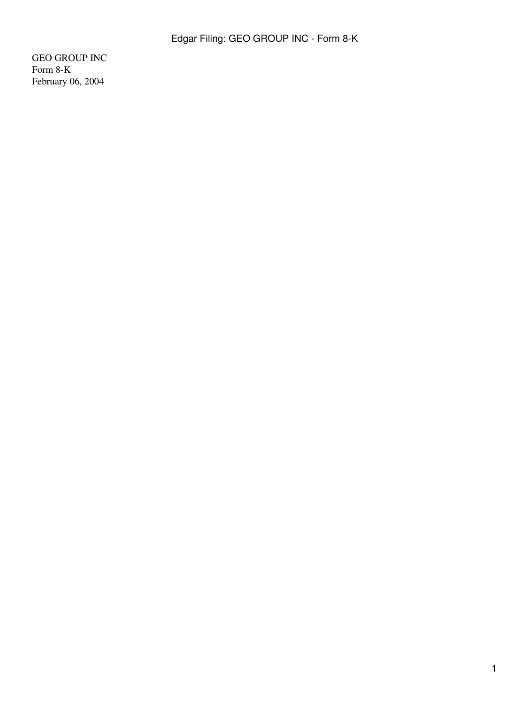GEO GROUP INC Form 8-K February 06, 2004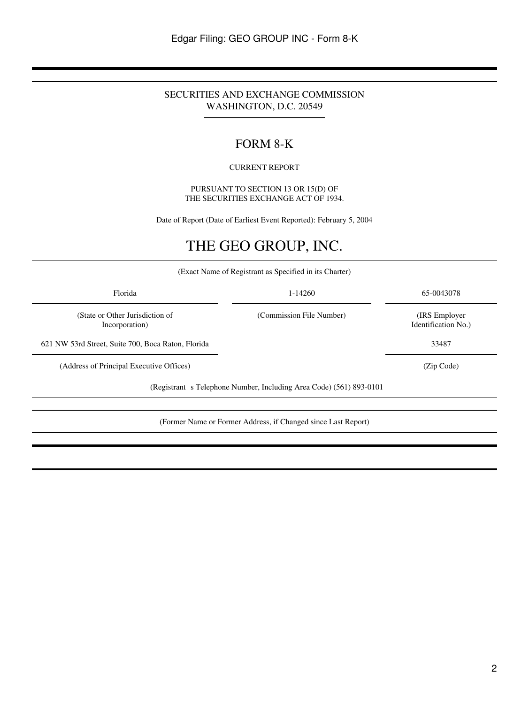# SECURITIES AND EXCHANGE COMMISSION WASHINGTON, D.C. 20549

# FORM 8-K

## CURRENT REPORT

PURSUANT TO SECTION 13 OR 15(D) OF THE SECURITIES EXCHANGE ACT OF 1934.

Date of Report (Date of Earliest Event Reported): February 5, 2004

# THE GEO GROUP, INC.

(Exact Name of Registrant as Specified in its Charter)

| 1-14260                  | 65-0043078                            |
|--------------------------|---------------------------------------|
| (Commission File Number) | (IRS Employer)<br>Identification No.) |
|                          | 33487                                 |
|                          | (Zip Code)                            |
|                          |                                       |

(Registrant s Telephone Number, Including Area Code) (561) 893-0101

(Former Name or Former Address, if Changed since Last Report)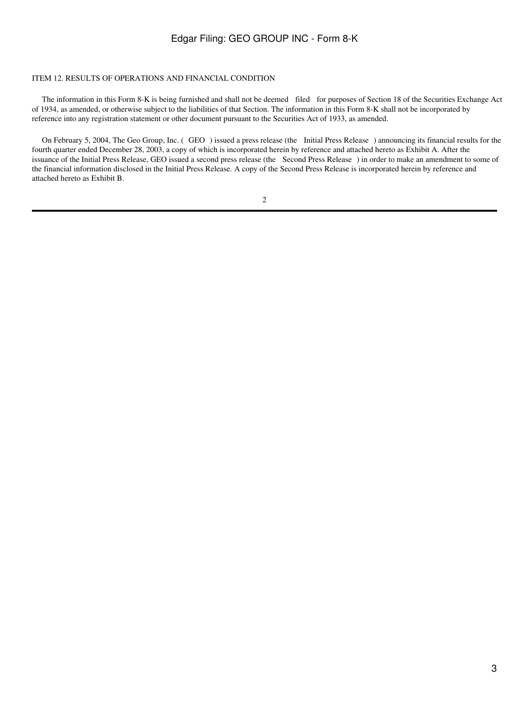#### ITEM 12. RESULTS OF OPERATIONS AND FINANCIAL CONDITION

 The information in this Form 8-K is being furnished and shall not be deemed filed for purposes of Section 18 of the Securities Exchange Act of 1934, as amended, or otherwise subject to the liabilities of that Section. The information in this Form 8-K shall not be incorporated by reference into any registration statement or other document pursuant to the Securities Act of 1933, as amended.

On February 5, 2004, The Geo Group, Inc. (GEO) issued a press release (the Initial Press Release) announcing its financial results for the fourth quarter ended December 28, 2003, a copy of which is incorporated herein by reference and attached hereto as Exhibit A. After the issuance of the Initial Press Release, GEO issued a second press release (the Second Press Release) in order to make an amendment to some of the financial information disclosed in the Initial Press Release. A copy of the Second Press Release is incorporated herein by reference and attached hereto as Exhibit B.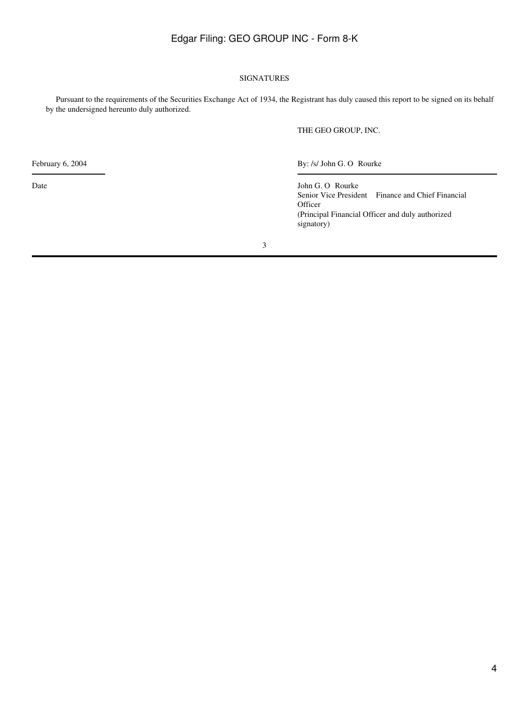## SIGNATURES

 Pursuant to the requirements of the Securities Exchange Act of 1934, the Registrant has duly caused this report to be signed on its behalf by the undersigned hereunto duly authorized.

THE GEO GROUP, INC.

February 6, 2004 By: /s/ John G. O Rourke

Date John G. O Rourke Senior Vice President Finance and Chief Financial **Officer** (Principal Financial Officer and duly authorized signatory)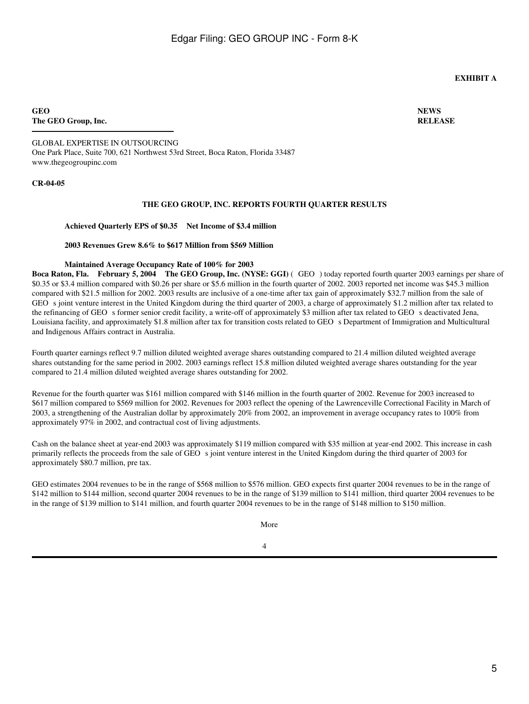## **EXHIBIT A**

**GEO The GEO Group, Inc.** **NEWS RELEASE**

GLOBAL EXPERTISE IN OUTSOURCING One Park Place, Suite 700, 621 Northwest 53rd Street, Boca Raton, Florida 33487 www.thegeogroupinc.com

#### **CR-04-05**

#### **THE GEO GROUP, INC. REPORTS FOURTH QUARTER RESULTS**

**Achieved Quarterly EPS of \$0.35 Net Income of \$3.4 million**

#### **2003 Revenues Grew 8.6% to \$617 Million from \$569 Million**

#### **Maintained Average Occupancy Rate of 100% for 2003**

**Boca Raton, Fla. February 5, 2004 The GEO Group, Inc. (NYSE: GGI)** (GEO) today reported fourth quarter 2003 earnings per share of \$0.35 or \$3.4 million compared with \$0.26 per share or \$5.6 million in the fourth quarter of 2002. 2003 reported net income was \$45.3 million compared with \$21.5 million for 2002. 2003 results are inclusive of a one-time after tax gain of approximately \$32.7 million from the sale of GEO s joint venture interest in the United Kingdom during the third quarter of 2003, a charge of approximately \$1.2 million after tax related to the refinancing of GEO s former senior credit facility, a write-off of approximately \$3 million after tax related to GEO s deactivated Jena, Louisiana facility, and approximately \$1.8 million after tax for transition costs related to GEO s Department of Immigration and Multicultural and Indigenous Affairs contract in Australia.

Fourth quarter earnings reflect 9.7 million diluted weighted average shares outstanding compared to 21.4 million diluted weighted average shares outstanding for the same period in 2002. 2003 earnings reflect 15.8 million diluted weighted average shares outstanding for the year compared to 21.4 million diluted weighted average shares outstanding for 2002.

Revenue for the fourth quarter was \$161 million compared with \$146 million in the fourth quarter of 2002. Revenue for 2003 increased to \$617 million compared to \$569 million for 2002. Revenues for 2003 reflect the opening of the Lawrenceville Correctional Facility in March of 2003, a strengthening of the Australian dollar by approximately 20% from 2002, an improvement in average occupancy rates to 100% from approximately 97% in 2002, and contractual cost of living adjustments.

Cash on the balance sheet at year-end 2003 was approximately \$119 million compared with \$35 million at year-end 2002. This increase in cash primarily reflects the proceeds from the sale of GEO s joint venture interest in the United Kingdom during the third quarter of 2003 for approximately \$80.7 million, pre tax.

GEO estimates 2004 revenues to be in the range of \$568 million to \$576 million. GEO expects first quarter 2004 revenues to be in the range of \$142 million to \$144 million, second quarter 2004 revenues to be in the range of \$139 million to \$141 million, third quarter 2004 revenues to be in the range of \$139 million to \$141 million, and fourth quarter 2004 revenues to be in the range of \$148 million to \$150 million.

More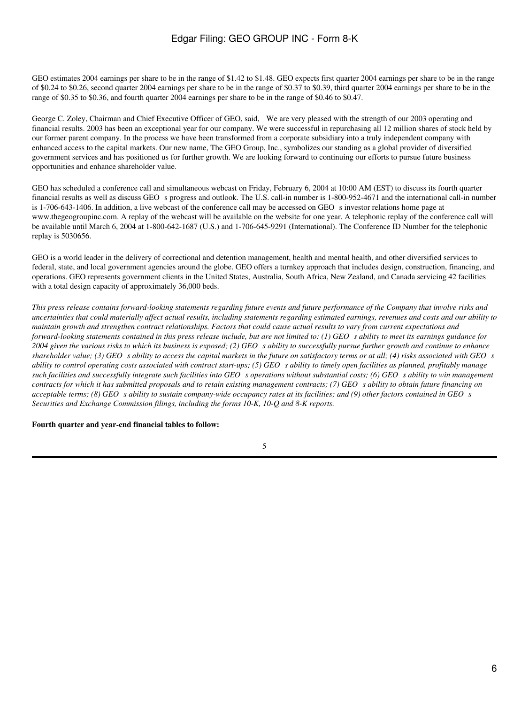GEO estimates 2004 earnings per share to be in the range of \$1.42 to \$1.48. GEO expects first quarter 2004 earnings per share to be in the range of \$0.24 to \$0.26, second quarter 2004 earnings per share to be in the range of \$0.37 to \$0.39, third quarter 2004 earnings per share to be in the range of \$0.35 to \$0.36, and fourth quarter 2004 earnings per share to be in the range of \$0.46 to \$0.47.

George C. Zoley, Chairman and Chief Executive Officer of GEO, said, We are very pleased with the strength of our 2003 operating and financial results. 2003 has been an exceptional year for our company. We were successful in repurchasing all 12 million shares of stock held by our former parent company. In the process we have been transformed from a corporate subsidiary into a truly independent company with enhanced access to the capital markets. Our new name, The GEO Group, Inc., symbolizes our standing as a global provider of diversified government services and has positioned us for further growth. We are looking forward to continuing our efforts to pursue future business opportunities and enhance shareholder value.

GEO has scheduled a conference call and simultaneous webcast on Friday, February 6, 2004 at 10:00 AM (EST) to discuss its fourth quarter financial results as well as discuss GEOs progress and outlook. The U.S. call-in number is 1-800-952-4671 and the international call-in number is  $1-706-643-1406$ . In addition, a live webcast of the conference call may be accessed on GEO s investor relations home page at www.thegeogroupinc.com. A replay of the webcast will be available on the website for one year. A telephonic replay of the conference call will be available until March 6, 2004 at 1-800-642-1687 (U.S.) and 1-706-645-9291 (International). The Conference ID Number for the telephonic replay is 5030656.

GEO is a world leader in the delivery of correctional and detention management, health and mental health, and other diversified services to federal, state, and local government agencies around the globe. GEO offers a turnkey approach that includes design, construction, financing, and operations. GEO represents government clients in the United States, Australia, South Africa, New Zealand, and Canada servicing 42 facilities with a total design capacity of approximately 36,000 beds.

*This press release contains forward-looking statements regarding future events and future performance of the Company that involve risks and uncertainties that could materially affect actual results, including statements regarding estimated earnings, revenues and costs and our ability to maintain growth and strengthen contract relationships. Factors that could cause actual results to vary from current expectations and forward-looking statements contained in this press release include, but are not limited to: (1) GEO s ability to meet its earnings guidance for 2004 given the various risks to which its business is exposed; (2) GEOs ability to successfully pursue further growth and continue to enhance shareholder value; (3) GEO s ability to access the capital markets in the future on satisfactory terms or at all; (4) risks associated with GEO s ability to control operating costs associated with contract start-ups; (5) GEO s ability to timely open facilities as planned, profitably manage* such facilities and successfully integrate such facilities into GEO s operations without substantial costs; (6) GEO s ability to win management *contracts for which it has submitted proposals and to retain existing management contracts; (7) GEOs ability to obtain future financing on acceptable terms; (8) GEO s ability to sustain company-wide occupancy rates at its facilities; and (9) other factors contained in GEO s Securities and Exchange Commission filings, including the forms 10-K, 10-Q and 8-K reports.*

**Fourth quarter and year-end financial tables to follow:**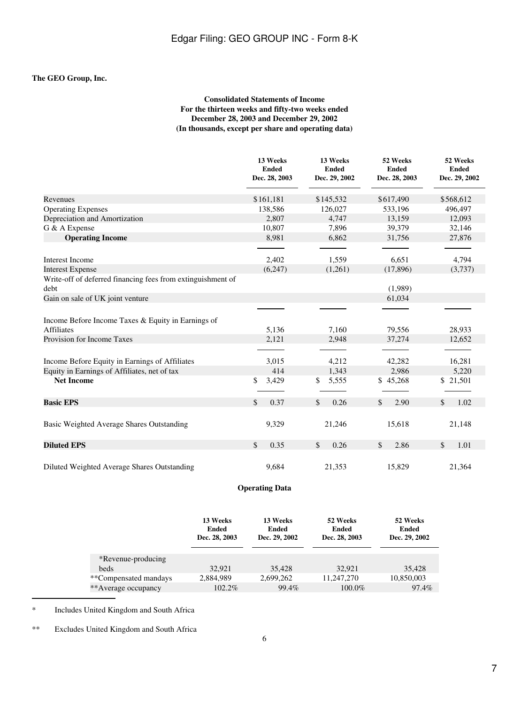## **The GEO Group, Inc.**

## **Consolidated Statements of Income For the thirteen weeks and fifty-two weeks ended December 28, 2003 and December 29, 2002 (In thousands, except per share and operating data)**

|                                                                         | 13 Weeks<br><b>Ended</b><br>Dec. 28, 2003 | 13 Weeks<br><b>Ended</b><br>Dec. 29, 2002 | 52 Weeks<br><b>Ended</b><br>Dec. 28, 2003 | 52 Weeks<br><b>Ended</b><br>Dec. 29, 2002 |
|-------------------------------------------------------------------------|-------------------------------------------|-------------------------------------------|-------------------------------------------|-------------------------------------------|
| Revenues                                                                | \$161,181                                 | \$145,532                                 | \$617,490                                 | \$568,612                                 |
| <b>Operating Expenses</b>                                               | 138,586                                   | 126,027                                   | 533,196                                   | 496,497                                   |
| Depreciation and Amortization                                           | 2,807                                     | 4,747                                     | 13,159                                    | 12,093                                    |
| G & A Expense                                                           | 10,807                                    | 7,896                                     | 39,379                                    | 32,146                                    |
| <b>Operating Income</b>                                                 | 8,981                                     | 6,862                                     | 31,756                                    | 27,876                                    |
| Interest Income                                                         | 2,402                                     | 1,559                                     | 6,651                                     | 4,794                                     |
| <b>Interest Expense</b>                                                 | (6,247)                                   | (1,261)                                   | (17, 896)                                 | (3,737)                                   |
| Write-off of deferred financing fees from extinguishment of<br>debt     |                                           |                                           | (1,989)                                   |                                           |
| Gain on sale of UK joint venture                                        |                                           |                                           | 61,034                                    |                                           |
|                                                                         |                                           |                                           |                                           |                                           |
| Income Before Income Taxes & Equity in Earnings of<br><b>Affiliates</b> |                                           | 7,160                                     |                                           |                                           |
| Provision for Income Taxes                                              | 5,136<br>2,121                            | 2,948                                     | 79,556<br>37,274                          | 28,933<br>12,652                          |
|                                                                         |                                           |                                           |                                           |                                           |
| Income Before Equity in Earnings of Affiliates                          | 3,015                                     | 4,212                                     | 42,282                                    | 16,281                                    |
| Equity in Earnings of Affiliates, net of tax                            | 414                                       | 1,343                                     | 2,986                                     | 5,220                                     |
| <b>Net Income</b>                                                       | \$<br>3,429                               | \$<br>5,555                               | \$45,268                                  | \$21,501                                  |
| <b>Basic EPS</b>                                                        | \$<br>0.37                                | \$<br>0.26                                | \$<br>2.90                                | \$<br>1.02                                |
| Basic Weighted Average Shares Outstanding                               | 9,329                                     | 21,246                                    | 15,618                                    | 21,148                                    |
| <b>Diluted EPS</b>                                                      | \$<br>0.35                                | \$<br>0.26                                | 2.86<br>\$                                | \$<br>1.01                                |
| Diluted Weighted Average Shares Outstanding                             | 9,684                                     | 21,353                                    | 15,829                                    | 21,364                                    |

# **Operating Data**

|                       | 13 Weeks<br>Ended<br>Dec. 28, 2003 | 13 Weeks<br><b>Ended</b><br>Dec. 29, 2002 | 52 Weeks<br><b>Ended</b><br>Dec. 28, 2003 | 52 Weeks<br>Ended<br>Dec. 29, 2002 |
|-----------------------|------------------------------------|-------------------------------------------|-------------------------------------------|------------------------------------|
| *Revenue-producing    |                                    |                                           |                                           |                                    |
| <b>beds</b>           | 32.921                             | 35,428                                    | 32.921                                    | 35,428                             |
| **Compensated mandays | 2.884.989                          | 2,699,262                                 | 11.247.270                                | 10,850,003                         |
| **Average occupancy   | 102.2%                             | 99.4%                                     | 100.0%                                    | 97.4%                              |

\* Includes United Kingdom and South Africa

\*\* Excludes United Kingdom and South Africa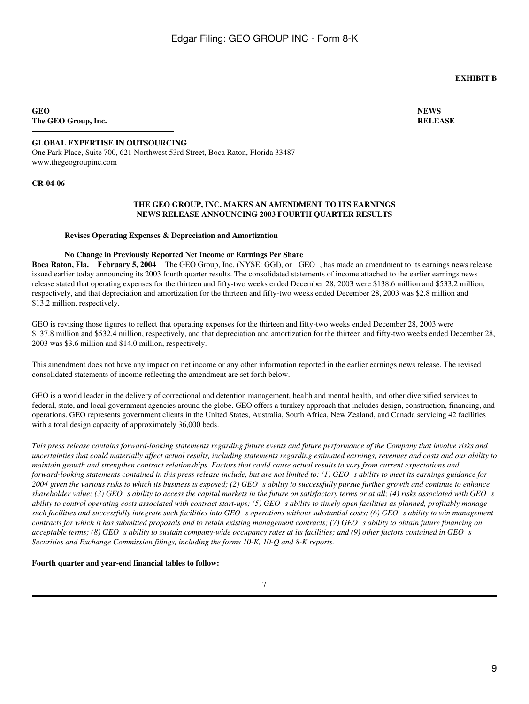## **EXHIBIT B**

**GEO The GEO Group, Inc.**

## **GLOBAL EXPERTISE IN OUTSOURCING**

One Park Place, Suite 700, 621 Northwest 53rd Street, Boca Raton, Florida 33487 www.thegeogroupinc.com

#### **CR-04-06**

#### **THE GEO GROUP, INC. MAKES AN AMENDMENT TO ITS EARNINGS NEWS RELEASE ANNOUNCING 2003 FOURTH QUARTER RESULTS**

#### **Revises Operating Expenses & Depreciation and Amortization**

#### **No Change in Previously Reported Net Income or Earnings Per Share**

**Boca Raton, Fla. February 5, 2004** The GEO Group, Inc. (NYSE: GGI), or GEO, has made an amendment to its earnings news release issued earlier today announcing its 2003 fourth quarter results. The consolidated statements of income attached to the earlier earnings news release stated that operating expenses for the thirteen and fifty-two weeks ended December 28, 2003 were \$138.6 million and \$533.2 million, respectively, and that depreciation and amortization for the thirteen and fifty-two weeks ended December 28, 2003 was \$2.8 million and \$13.2 million, respectively.

GEO is revising those figures to reflect that operating expenses for the thirteen and fifty-two weeks ended December 28, 2003 were \$137.8 million and \$532.4 million, respectively, and that depreciation and amortization for the thirteen and fifty-two weeks ended December 28, 2003 was \$3.6 million and \$14.0 million, respectively.

This amendment does not have any impact on net income or any other information reported in the earlier earnings news release. The revised consolidated statements of income reflecting the amendment are set forth below.

GEO is a world leader in the delivery of correctional and detention management, health and mental health, and other diversified services to federal, state, and local government agencies around the globe. GEO offers a turnkey approach that includes design, construction, financing, and operations. GEO represents government clients in the United States, Australia, South Africa, New Zealand, and Canada servicing 42 facilities with a total design capacity of approximately 36,000 beds.

*This press release contains forward-looking statements regarding future events and future performance of the Company that involve risks and uncertainties that could materially affect actual results, including statements regarding estimated earnings, revenues and costs and our ability to maintain growth and strengthen contract relationships. Factors that could cause actual results to vary from current expectations and* forward-looking statements contained in this press release include, but are not limited to: (1) GEO s ability to meet its earnings guidance for 2004 given the various risks to which its business is exposed; (2) GEO s ability to successfully pursue further growth and continue to enhance *shareholder value; (3) GEO s ability to access the capital markets in the future on satisfactory terms or at all; (4) risks associated with GEO s ability to control operating costs associated with contract start-ups; (5) GEO s ability to timely open facilities as planned, profitably manage* such facilities and successfully integrate such facilities into GEO s operations without substantial costs; (6) GEO s ability to win management *contracts for which it has submitted proposals and to retain existing management contracts; (7) GEOs ability to obtain future financing on acceptable terms; (8) GEO s ability to sustain company-wide occupancy rates at its facilities; and (9) other factors contained in GEO s Securities and Exchange Commission filings, including the forms 10-K, 10-Q and 8-K reports.*

#### **Fourth quarter and year-end financial tables to follow:**

**NEWS RELEASE**